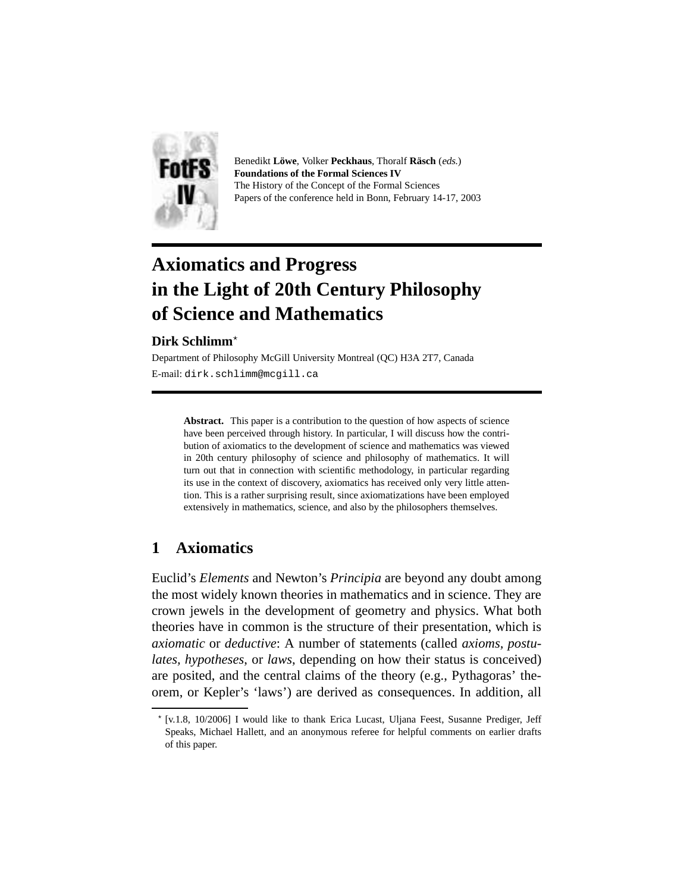

Benedikt **Lowe ¨** , Volker **Peckhaus**, Thoralf **Rasch ¨** (eds.) **Foundations of the Formal Sciences IV** The History of the Concept of the Formal Sciences Papers of the conference held in Bonn, February 14-17, 2003

# **Axiomatics and Progress in the Light of 20th Century Philosophy of Science and Mathematics**

# Dirk Schlimm<sup>\*</sup>

Department of Philosophy McGill University Montreal (QC) H3A 2T7, Canada E-mail: dirk.schlimm@mcgill.ca

**Abstract.** This paper is a contribution to the question of how aspects of science have been perceived through history. In particular, I will discuss how the contribution of axiomatics to the development of science and mathematics was viewed in 20th century philosophy of science and philosophy of mathematics. It will turn out that in connection with scientific methodology, in particular regarding its use in the context of discovery, axiomatics has received only very little attention. This is a rather surprising result, since axiomatizations have been employed extensively in mathematics, science, and also by the philosophers themselves.

# **1 Axiomatics**

Euclid's *Elements* and Newton's *Principia* are beyond any doubt among the most widely known theories in mathematics and in science. They are crown jewels in the development of geometry and physics. What both theories have in common is the structure of their presentation, which is *axiomatic* or *deductive*: A number of statements (called *axioms, postulates, hypotheses*, or *laws*, depending on how their status is conceived) are posited, and the central claims of the theory (e.g., Pythagoras' theorem, or Kepler's 'laws') are derived as consequences. In addition, all

<sup>⋆</sup> [v.1.8, 10/2006] I would like to thank Erica Lucast, Uljana Feest, Susanne Prediger, Jeff Speaks, Michael Hallett, and an anonymous referee for helpful comments on earlier drafts of this paper.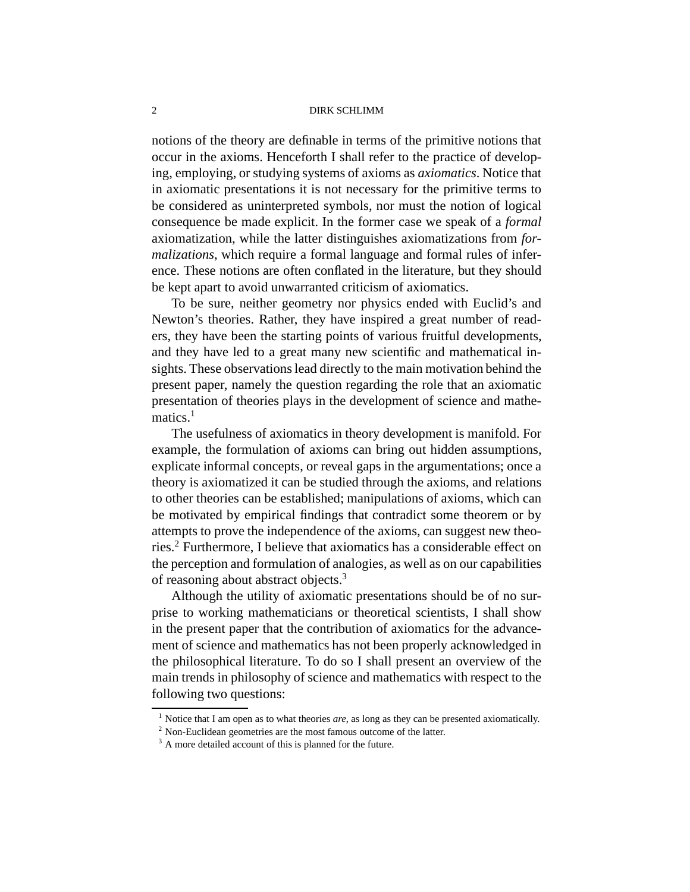notions of the theory are definable in terms of the primitive notions that occur in the axioms. Henceforth I shall refer to the practice of developing, employing, or studying systems of axioms as *axiomatics*. Notice that in axiomatic presentations it is not necessary for the primitive terms to be considered as uninterpreted symbols, nor must the notion of logical consequence be made explicit. In the former case we speak of a *formal* axiomatization, while the latter distinguishes axiomatizations from *formalizations*, which require a formal language and formal rules of inference. These notions are often conflated in the literature, but they should be kept apart to avoid unwarranted criticism of axiomatics.

To be sure, neither geometry nor physics ended with Euclid's and Newton's theories. Rather, they have inspired a great number of readers, they have been the starting points of various fruitful developments, and they have led to a great many new scientific and mathematical insights. These observations lead directly to the main motivation behind the present paper, namely the question regarding the role that an axiomatic presentation of theories plays in the development of science and mathematics.<sup>1</sup>

The usefulness of axiomatics in theory development is manifold. For example, the formulation of axioms can bring out hidden assumptions, explicate informal concepts, or reveal gaps in the argumentations; once a theory is axiomatized it can be studied through the axioms, and relations to other theories can be established; manipulations of axioms, which can be motivated by empirical findings that contradict some theorem or by attempts to prove the independence of the axioms, can suggest new theories.<sup>2</sup> Furthermore, I believe that axiomatics has a considerable effect on the perception and formulation of analogies, as well as on our capabilities of reasoning about abstract objects.<sup>3</sup>

Although the utility of axiomatic presentations should be of no surprise to working mathematicians or theoretical scientists, I shall show in the present paper that the contribution of axiomatics for the advancement of science and mathematics has not been properly acknowledged in the philosophical literature. To do so I shall present an overview of the main trends in philosophy of science and mathematics with respect to the following two questions:

<sup>&</sup>lt;sup>1</sup> Notice that I am open as to what theories *are*, as long as they can be presented axiomatically.

<sup>2</sup> Non-Euclidean geometries are the most famous outcome of the latter.

<sup>&</sup>lt;sup>3</sup> A more detailed account of this is planned for the future.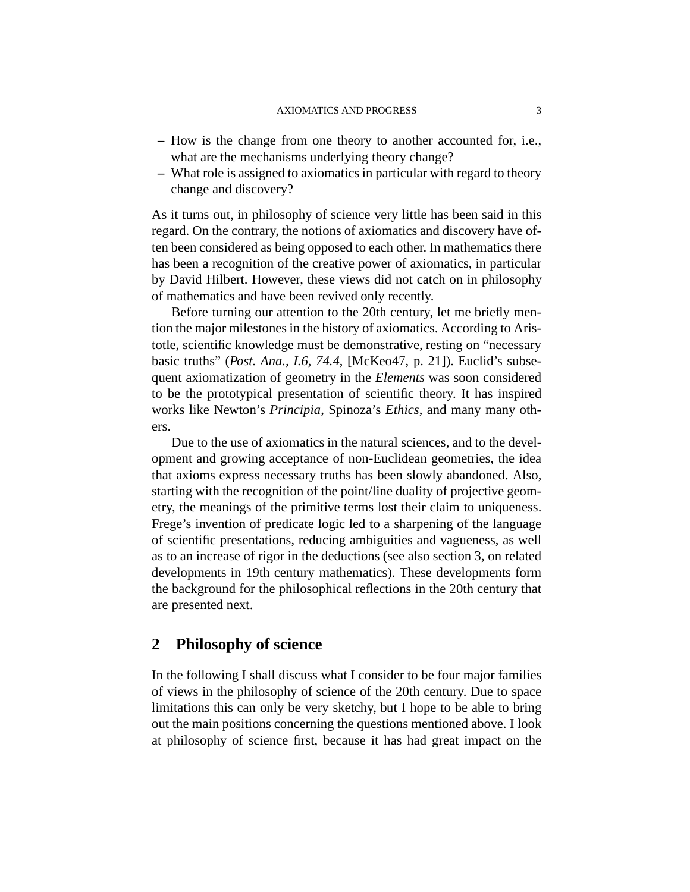- **–** How is the change from one theory to another accounted for, i.e., what are the mechanisms underlying theory change?
- **–** What role is assigned to axiomatics in particular with regard to theory change and discovery?

As it turns out, in philosophy of science very little has been said in this regard. On the contrary, the notions of axiomatics and discovery have often been considered as being opposed to each other. In mathematics there has been a recognition of the creative power of axiomatics, in particular by David Hilbert. However, these views did not catch on in philosophy of mathematics and have been revived only recently.

Before turning our attention to the 20th century, let me briefly mention the major milestones in the history of axiomatics. According to Aristotle, scientific knowledge must be demonstrative, resting on "necessary basic truths" (*Post. Ana., I.6, 74.4*, [McKeo47, p. 21]). Euclid's subsequent axiomatization of geometry in the *Elements* was soon considered to be the prototypical presentation of scientific theory. It has inspired works like Newton's *Principia*, Spinoza's *Ethics*, and many many others.

Due to the use of axiomatics in the natural sciences, and to the development and growing acceptance of non-Euclidean geometries, the idea that axioms express necessary truths has been slowly abandoned. Also, starting with the recognition of the point/line duality of projective geometry, the meanings of the primitive terms lost their claim to uniqueness. Frege's invention of predicate logic led to a sharpening of the language of scientific presentations, reducing ambiguities and vagueness, as well as to an increase of rigor in the deductions (see also section 3, on related developments in 19th century mathematics). These developments form the background for the philosophical reflections in the 20th century that are presented next.

# **2 Philosophy of science**

In the following I shall discuss what I consider to be four major families of views in the philosophy of science of the 20th century. Due to space limitations this can only be very sketchy, but I hope to be able to bring out the main positions concerning the questions mentioned above. I look at philosophy of science first, because it has had great impact on the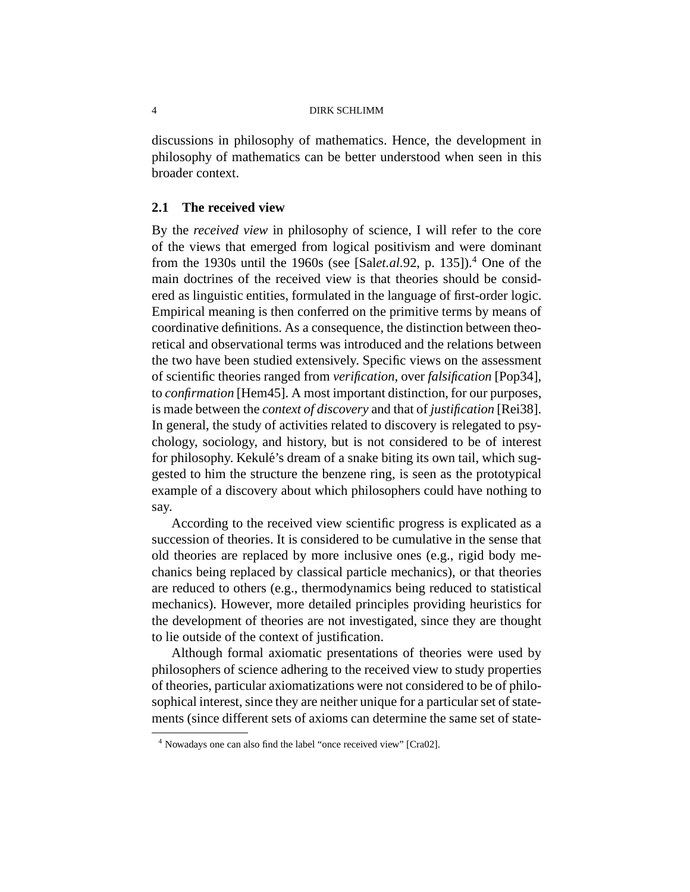discussions in philosophy of mathematics. Hence, the development in philosophy of mathematics can be better understood when seen in this broader context.

# **2.1 The received view**

By the *received view* in philosophy of science, I will refer to the core of the views that emerged from logical positivism and were dominant from the 1930s until the 1960s (see [Sal*et.al.*92, p. 135]).<sup>4</sup> One of the main doctrines of the received view is that theories should be considered as linguistic entities, formulated in the language of first-order logic. Empirical meaning is then conferred on the primitive terms by means of coordinative definitions. As a consequence, the distinction between theoretical and observational terms was introduced and the relations between the two have been studied extensively. Specific views on the assessment of scientific theories ranged from *verification*, over *falsification* [Pop34], to *confirmation* [Hem45]. A most important distinction, for our purposes, is made between the *context of discovery* and that of *justification* [Rei38]. In general, the study of activities related to discovery is relegated to psychology, sociology, and history, but is not considered to be of interest for philosophy. Kekulé's dream of a snake biting its own tail, which suggested to him the structure the benzene ring, is seen as the prototypical example of a discovery about which philosophers could have nothing to say.

According to the received view scientific progress is explicated as a succession of theories. It is considered to be cumulative in the sense that old theories are replaced by more inclusive ones (e.g., rigid body mechanics being replaced by classical particle mechanics), or that theories are reduced to others (e.g., thermodynamics being reduced to statistical mechanics). However, more detailed principles providing heuristics for the development of theories are not investigated, since they are thought to lie outside of the context of justification.

Although formal axiomatic presentations of theories were used by philosophers of science adhering to the received view to study properties of theories, particular axiomatizations were not considered to be of philosophical interest, since they are neither unique for a particular set of statements (since different sets of axioms can determine the same set of state-

<sup>4</sup> Nowadays one can also find the label "once received view" [Cra02].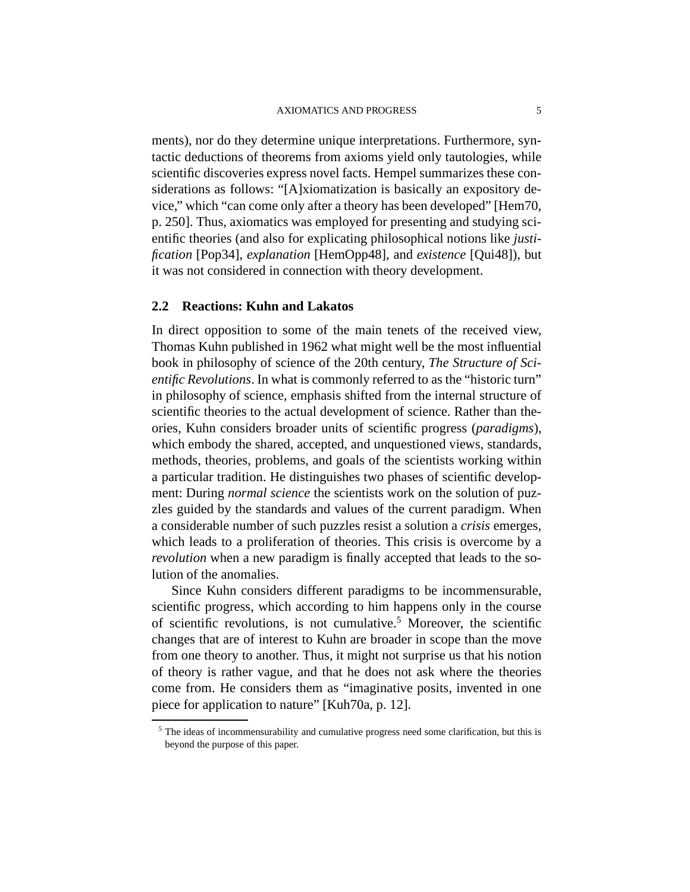ments), nor do they determine unique interpretations. Furthermore, syntactic deductions of theorems from axioms yield only tautologies, while scientific discoveries express novel facts. Hempel summarizes these considerations as follows: "[A]xiomatization is basically an expository device," which "can come only after a theory has been developed" [Hem70, p. 250]. Thus, axiomatics was employed for presenting and studying scientific theories (and also for explicating philosophical notions like *justification* [Pop34], *explanation* [HemOpp48], and *existence* [Qui48]), but it was not considered in connection with theory development.

## **2.2 Reactions: Kuhn and Lakatos**

In direct opposition to some of the main tenets of the received view, Thomas Kuhn published in 1962 what might well be the most influential book in philosophy of science of the 20th century, *The Structure of Scientific Revolutions*. In what is commonly referred to as the "historic turn" in philosophy of science, emphasis shifted from the internal structure of scientific theories to the actual development of science. Rather than theories, Kuhn considers broader units of scientific progress (*paradigms*), which embody the shared, accepted, and unquestioned views, standards, methods, theories, problems, and goals of the scientists working within a particular tradition. He distinguishes two phases of scientific development: During *normal science* the scientists work on the solution of puzzles guided by the standards and values of the current paradigm. When a considerable number of such puzzles resist a solution a *crisis* emerges, which leads to a proliferation of theories. This crisis is overcome by a *revolution* when a new paradigm is finally accepted that leads to the solution of the anomalies.

Since Kuhn considers different paradigms to be incommensurable, scientific progress, which according to him happens only in the course of scientific revolutions, is not cumulative.<sup>5</sup> Moreover, the scientific changes that are of interest to Kuhn are broader in scope than the move from one theory to another. Thus, it might not surprise us that his notion of theory is rather vague, and that he does not ask where the theories come from. He considers them as "imaginative posits, invented in one piece for application to nature" [Kuh70a, p. 12].

<sup>&</sup>lt;sup>5</sup> The ideas of incommensurability and cumulative progress need some clarification, but this is beyond the purpose of this paper.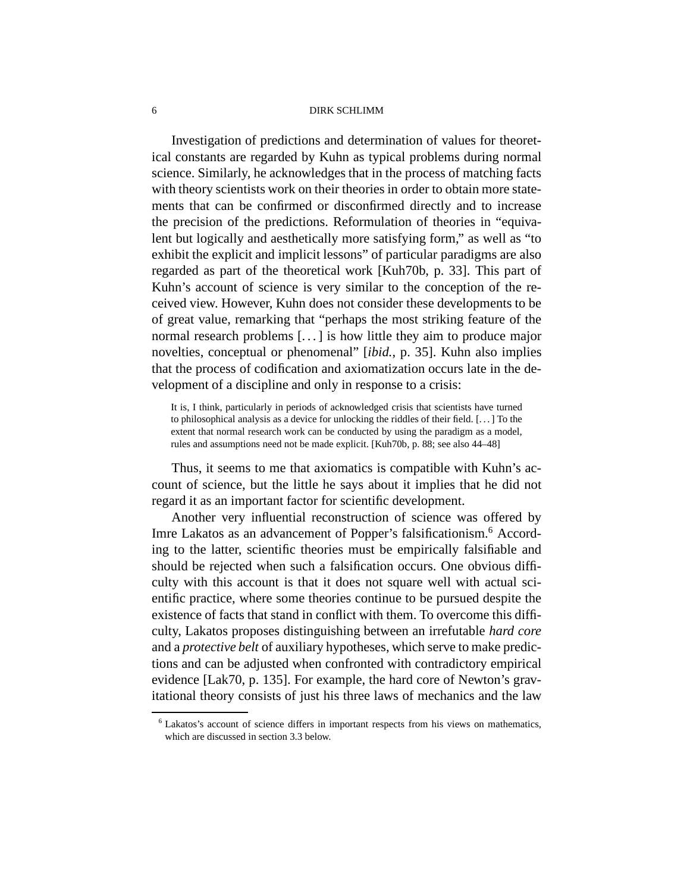Investigation of predictions and determination of values for theoretical constants are regarded by Kuhn as typical problems during normal science. Similarly, he acknowledges that in the process of matching facts with theory scientists work on their theories in order to obtain more statements that can be confirmed or disconfirmed directly and to increase the precision of the predictions. Reformulation of theories in "equivalent but logically and aesthetically more satisfying form," as well as "to exhibit the explicit and implicit lessons" of particular paradigms are also regarded as part of the theoretical work [Kuh70b, p. 33]. This part of Kuhn's account of science is very similar to the conception of the received view. However, Kuhn does not consider these developments to be of great value, remarking that "perhaps the most striking feature of the normal research problems [. . . ] is how little they aim to produce major novelties, conceptual or phenomenal" [*ibid.*, p. 35]. Kuhn also implies that the process of codification and axiomatization occurs late in the development of a discipline and only in response to a crisis:

It is, I think, particularly in periods of acknowledged crisis that scientists have turned to philosophical analysis as a device for unlocking the riddles of their field. [. . . ] To the extent that normal research work can be conducted by using the paradigm as a model, rules and assumptions need not be made explicit. [Kuh70b, p. 88; see also 44–48]

Thus, it seems to me that axiomatics is compatible with Kuhn's account of science, but the little he says about it implies that he did not regard it as an important factor for scientific development.

Another very influential reconstruction of science was offered by Imre Lakatos as an advancement of Popper's falsificationism. <sup>6</sup> According to the latter, scientific theories must be empirically falsifiable and should be rejected when such a falsification occurs. One obvious difficulty with this account is that it does not square well with actual scientific practice, where some theories continue to be pursued despite the existence of facts that stand in conflict with them. To overcome this difficulty, Lakatos proposes distinguishing between an irrefutable *hard core* and a *protective belt* of auxiliary hypotheses, which serve to make predictions and can be adjusted when confronted with contradictory empirical evidence [Lak70, p. 135]. For example, the hard core of Newton's gravitational theory consists of just his three laws of mechanics and the law

<sup>6</sup> Lakatos's account of science differs in important respects from his views on mathematics, which are discussed in section 3.3 below.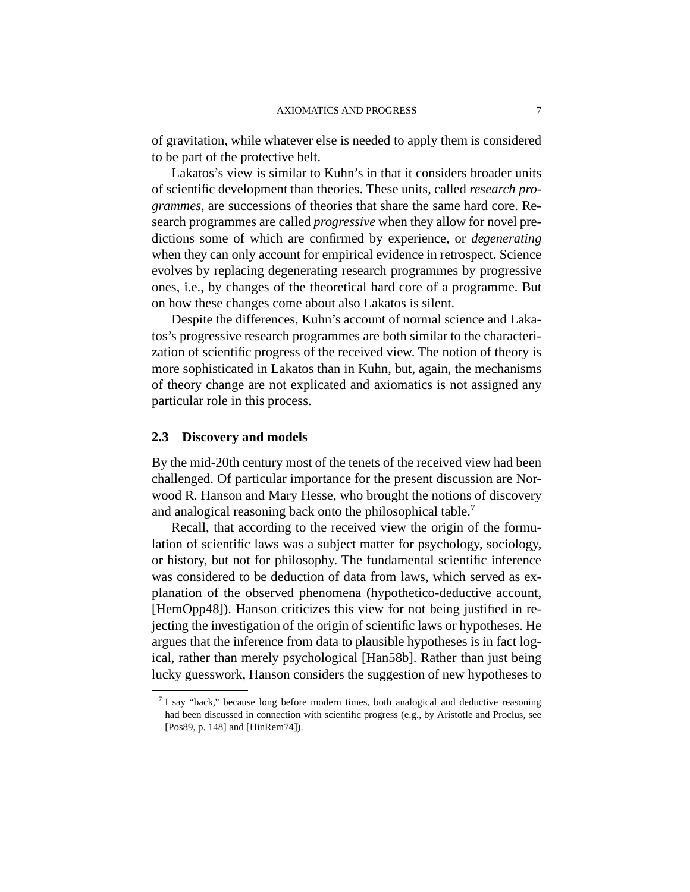of gravitation, while whatever else is needed to apply them is considered to be part of the protective belt.

Lakatos's view is similar to Kuhn's in that it considers broader units of scientific development than theories. These units, called *research programmes*, are successions of theories that share the same hard core. Research programmes are called *progressive* when they allow for novel predictions some of which are confirmed by experience, or *degenerating* when they can only account for empirical evidence in retrospect. Science evolves by replacing degenerating research programmes by progressive ones, i.e., by changes of the theoretical hard core of a programme. But on how these changes come about also Lakatos is silent.

Despite the differences, Kuhn's account of normal science and Lakatos's progressive research programmes are both similar to the characterization of scientific progress of the received view. The notion of theory is more sophisticated in Lakatos than in Kuhn, but, again, the mechanisms of theory change are not explicated and axiomatics is not assigned any particular role in this process.

#### **2.3 Discovery and models**

By the mid-20th century most of the tenets of the received view had been challenged. Of particular importance for the present discussion are Norwood R. Hanson and Mary Hesse, who brought the notions of discovery and analogical reasoning back onto the philosophical table. 7

Recall, that according to the received view the origin of the formulation of scientific laws was a subject matter for psychology, sociology, or history, but not for philosophy. The fundamental scientific inference was considered to be deduction of data from laws, which served as explanation of the observed phenomena (hypothetico-deductive account, [HemOpp48]). Hanson criticizes this view for not being justified in rejecting the investigation of the origin of scientific laws or hypotheses. He argues that the inference from data to plausible hypotheses is in fact logical, rather than merely psychological [Han58b]. Rather than just being lucky guesswork, Hanson considers the suggestion of new hypotheses to

 $7$  I say "back," because long before modern times, both analogical and deductive reasoning had been discussed in connection with scientific progress (e.g., by Aristotle and Proclus, see [Pos89, p. 148] and [HinRem74]).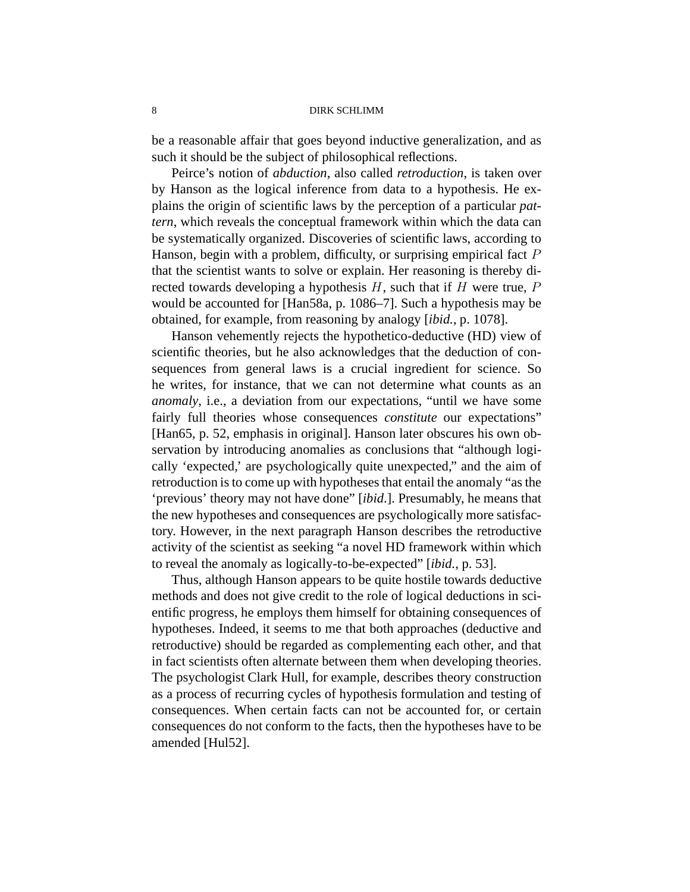be a reasonable affair that goes beyond inductive generalization, and as such it should be the subject of philosophical reflections.

Peirce's notion of *abduction*, also called *retroduction*, is taken over by Hanson as the logical inference from data to a hypothesis. He explains the origin of scientific laws by the perception of a particular *pattern*, which reveals the conceptual framework within which the data can be systematically organized. Discoveries of scientific laws, according to Hanson, begin with a problem, difficulty, or surprising empirical fact P that the scientist wants to solve or explain. Her reasoning is thereby directed towards developing a hypothesis  $H$ , such that if  $H$  were true,  $P$ would be accounted for [Han58a, p. 1086–7]. Such a hypothesis may be obtained, for example, from reasoning by analogy [*ibid.*, p. 1078].

Hanson vehemently rejects the hypothetico-deductive (HD) view of scientific theories, but he also acknowledges that the deduction of consequences from general laws is a crucial ingredient for science. So he writes, for instance, that we can not determine what counts as an *anomaly*, i.e., a deviation from our expectations, "until we have some fairly full theories whose consequences *constitute* our expectations" [Han65, p. 52, emphasis in original]. Hanson later obscures his own observation by introducing anomalies as conclusions that "although logically 'expected,' are psychologically quite unexpected," and the aim of retroduction is to come up with hypotheses that entail the anomaly "as the 'previous' theory may not have done" [*ibid*.]. Presumably, he means that the new hypotheses and consequences are psychologically more satisfactory. However, in the next paragraph Hanson describes the retroductive activity of the scientist as seeking "a novel HD framework within which to reveal the anomaly as logically-to-be-expected" [*ibid.*, p. 53].

Thus, although Hanson appears to be quite hostile towards deductive methods and does not give credit to the role of logical deductions in scientific progress, he employs them himself for obtaining consequences of hypotheses. Indeed, it seems to me that both approaches (deductive and retroductive) should be regarded as complementing each other, and that in fact scientists often alternate between them when developing theories. The psychologist Clark Hull, for example, describes theory construction as a process of recurring cycles of hypothesis formulation and testing of consequences. When certain facts can not be accounted for, or certain consequences do not conform to the facts, then the hypotheses have to be amended [Hul52].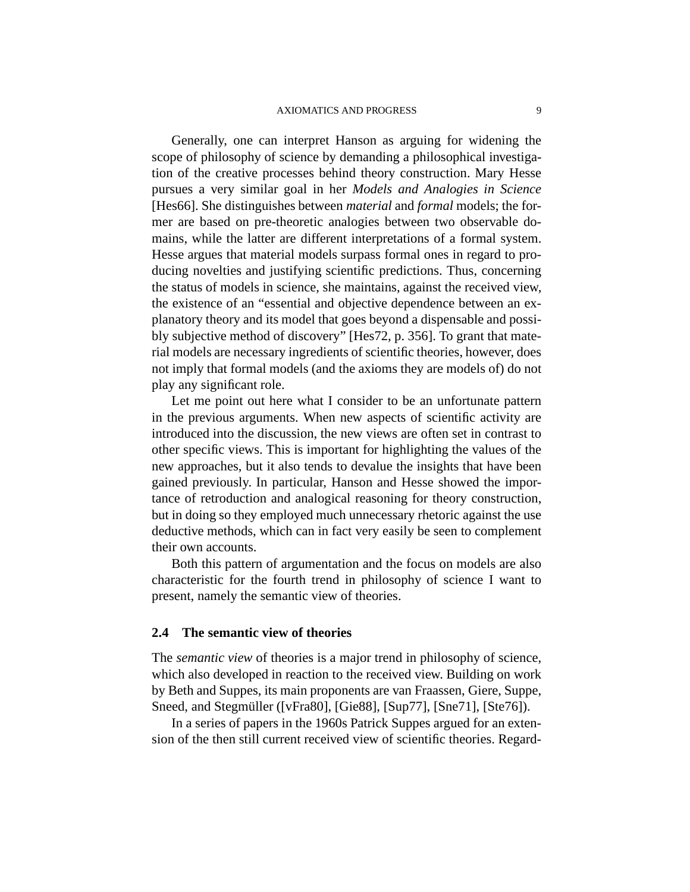Generally, one can interpret Hanson as arguing for widening the scope of philosophy of science by demanding a philosophical investigation of the creative processes behind theory construction. Mary Hesse pursues a very similar goal in her *Models and Analogies in Science* [Hes66]. She distinguishes between *material* and *formal* models; the former are based on pre-theoretic analogies between two observable domains, while the latter are different interpretations of a formal system. Hesse argues that material models surpass formal ones in regard to producing novelties and justifying scientific predictions. Thus, concerning the status of models in science, she maintains, against the received view, the existence of an "essential and objective dependence between an explanatory theory and its model that goes beyond a dispensable and possibly subjective method of discovery" [Hes72, p. 356]. To grant that material models are necessary ingredients of scientific theories, however, does not imply that formal models (and the axioms they are models of) do not play any significant role.

Let me point out here what I consider to be an unfortunate pattern in the previous arguments. When new aspects of scientific activity are introduced into the discussion, the new views are often set in contrast to other specific views. This is important for highlighting the values of the new approaches, but it also tends to devalue the insights that have been gained previously. In particular, Hanson and Hesse showed the importance of retroduction and analogical reasoning for theory construction, but in doing so they employed much unnecessary rhetoric against the use deductive methods, which can in fact very easily be seen to complement their own accounts.

Both this pattern of argumentation and the focus on models are also characteristic for the fourth trend in philosophy of science I want to present, namely the semantic view of theories.

## **2.4 The semantic view of theories**

The *semantic view* of theories is a major trend in philosophy of science, which also developed in reaction to the received view. Building on work by Beth and Suppes, its main proponents are van Fraassen, Giere, Suppe, Sneed, and Stegmüller ([vFra80], [Gie88], [Sup77], [Sne71], [Ste76]).

In a series of papers in the 1960s Patrick Suppes argued for an extension of the then still current received view of scientific theories. Regard-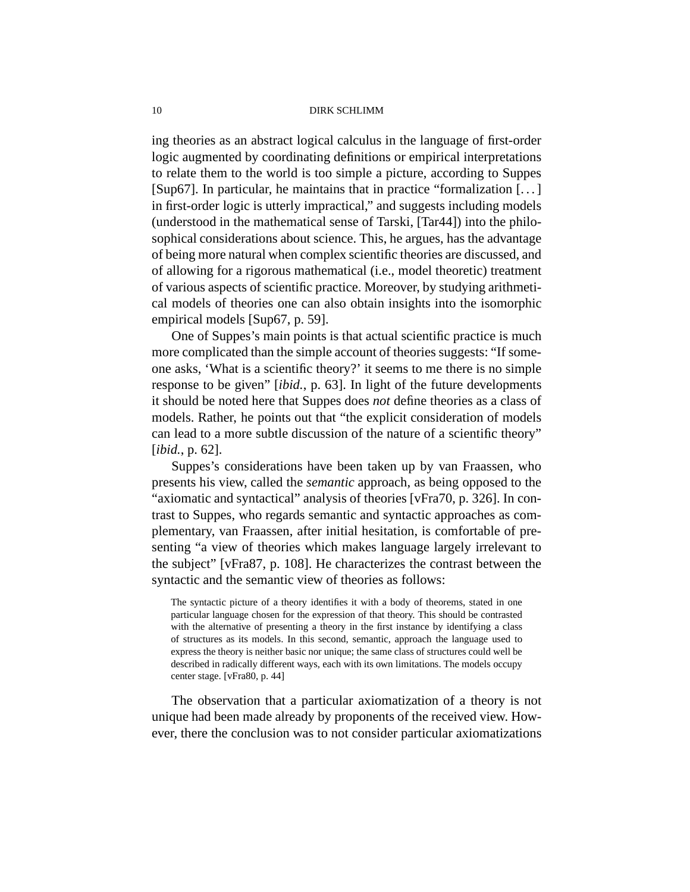ing theories as an abstract logical calculus in the language of first-order logic augmented by coordinating definitions or empirical interpretations to relate them to the world is too simple a picture, according to Suppes [Sup67]. In particular, he maintains that in practice "formalization [. . . ] in first-order logic is utterly impractical," and suggests including models (understood in the mathematical sense of Tarski, [Tar44]) into the philosophical considerations about science. This, he argues, has the advantage of being more natural when complex scientific theories are discussed, and of allowing for a rigorous mathematical (i.e., model theoretic) treatment of various aspects of scientific practice. Moreover, by studying arithmetical models of theories one can also obtain insights into the isomorphic empirical models [Sup67, p. 59].

One of Suppes's main points is that actual scientific practice is much more complicated than the simple account of theories suggests: "If someone asks, 'What is a scientific theory?' it seems to me there is no simple response to be given" [*ibid.*, p. 63]. In light of the future developments it should be noted here that Suppes does *not* define theories as a class of models. Rather, he points out that "the explicit consideration of models can lead to a more subtle discussion of the nature of a scientific theory" [*ibid.*, p. 62].

Suppes's considerations have been taken up by van Fraassen, who presents his view, called the *semantic* approach, as being opposed to the "axiomatic and syntactical" analysis of theories [vFra70, p. 326]. In contrast to Suppes, who regards semantic and syntactic approaches as complementary, van Fraassen, after initial hesitation, is comfortable of presenting "a view of theories which makes language largely irrelevant to the subject" [vFra87, p. 108]. He characterizes the contrast between the syntactic and the semantic view of theories as follows:

The syntactic picture of a theory identifies it with a body of theorems, stated in one particular language chosen for the expression of that theory. This should be contrasted with the alternative of presenting a theory in the first instance by identifying a class of structures as its models. In this second, semantic, approach the language used to express the theory is neither basic nor unique; the same class of structures could well be described in radically different ways, each with its own limitations. The models occupy center stage. [vFra80, p. 44]

The observation that a particular axiomatization of a theory is not unique had been made already by proponents of the received view. However, there the conclusion was to not consider particular axiomatizations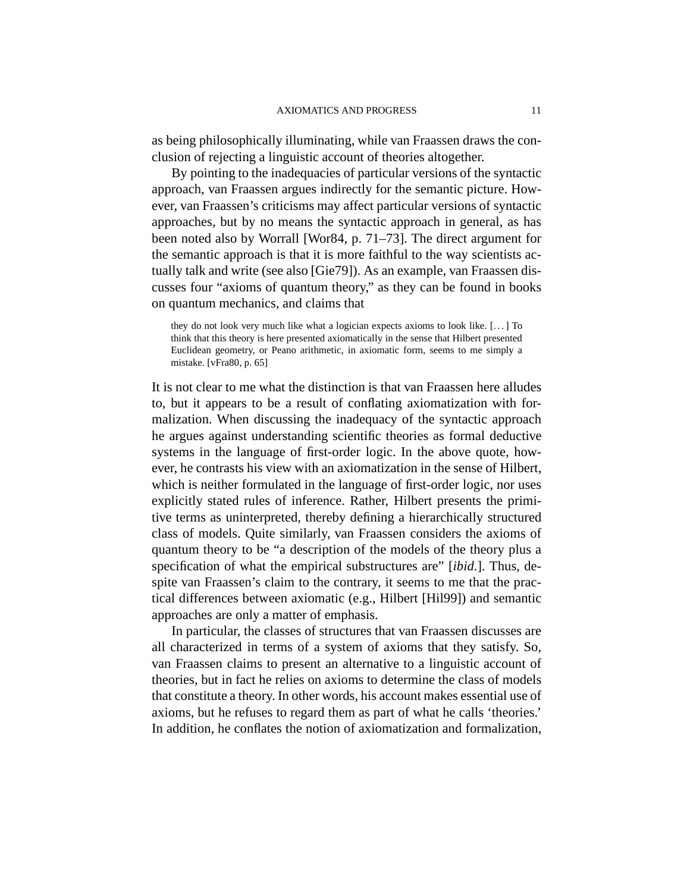as being philosophically illuminating, while van Fraassen draws the conclusion of rejecting a linguistic account of theories altogether.

By pointing to the inadequacies of particular versions of the syntactic approach, van Fraassen argues indirectly for the semantic picture. However, van Fraassen's criticisms may affect particular versions of syntactic approaches, but by no means the syntactic approach in general, as has been noted also by Worrall [Wor84, p. 71–73]. The direct argument for the semantic approach is that it is more faithful to the way scientists actually talk and write (see also [Gie79]). As an example, van Fraassen discusses four "axioms of quantum theory," as they can be found in books on quantum mechanics, and claims that

they do not look very much like what a logician expects axioms to look like. [. . . ] To think that this theory is here presented axiomatically in the sense that Hilbert presented Euclidean geometry, or Peano arithmetic, in axiomatic form, seems to me simply a mistake. [vFra80, p. 65]

It is not clear to me what the distinction is that van Fraassen here alludes to, but it appears to be a result of conflating axiomatization with formalization. When discussing the inadequacy of the syntactic approach he argues against understanding scientific theories as formal deductive systems in the language of first-order logic. In the above quote, however, he contrasts his view with an axiomatization in the sense of Hilbert, which is neither formulated in the language of first-order logic, nor uses explicitly stated rules of inference. Rather, Hilbert presents the primitive terms as uninterpreted, thereby defining a hierarchically structured class of models. Quite similarly, van Fraassen considers the axioms of quantum theory to be "a description of the models of the theory plus a specification of what the empirical substructures are" [*ibid.*]. Thus, despite van Fraassen's claim to the contrary, it seems to me that the practical differences between axiomatic (e.g., Hilbert [Hil99]) and semantic approaches are only a matter of emphasis.

In particular, the classes of structures that van Fraassen discusses are all characterized in terms of a system of axioms that they satisfy. So, van Fraassen claims to present an alternative to a linguistic account of theories, but in fact he relies on axioms to determine the class of models that constitute a theory. In other words, his account makes essential use of axioms, but he refuses to regard them as part of what he calls 'theories.' In addition, he conflates the notion of axiomatization and formalization,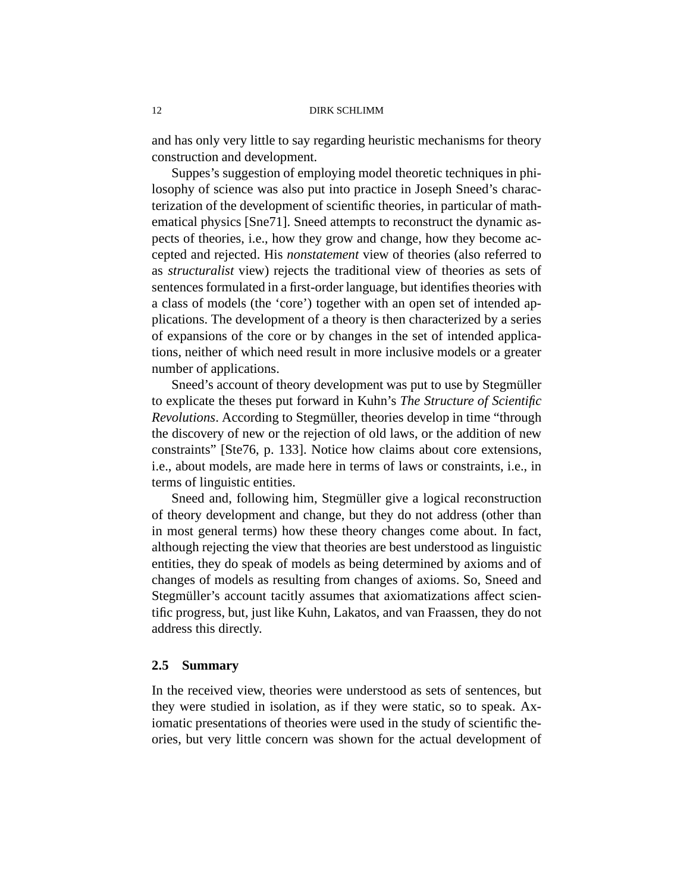and has only very little to say regarding heuristic mechanisms for theory construction and development.

Suppes's suggestion of employing model theoretic techniques in philosophy of science was also put into practice in Joseph Sneed's characterization of the development of scientific theories, in particular of mathematical physics [Sne71]. Sneed attempts to reconstruct the dynamic aspects of theories, i.e., how they grow and change, how they become accepted and rejected. His *nonstatement* view of theories (also referred to as *structuralist* view) rejects the traditional view of theories as sets of sentences formulated in a first-order language, but identifies theories with a class of models (the 'core') together with an open set of intended applications. The development of a theory is then characterized by a series of expansions of the core or by changes in the set of intended applications, neither of which need result in more inclusive models or a greater number of applications.

Sneed's account of theory development was put to use by Stegmüller to explicate the theses put forward in Kuhn's *The Structure of Scientific Revolutions*. According to Stegmüller, theories develop in time "through the discovery of new or the rejection of old laws, or the addition of new constraints" [Ste76, p. 133]. Notice how claims about core extensions, i.e., about models, are made here in terms of laws or constraints, i.e., in terms of linguistic entities.

Sneed and, following him, Stegmüller give a logical reconstruction of theory development and change, but they do not address (other than in most general terms) how these theory changes come about. In fact, although rejecting the view that theories are best understood as linguistic entities, they do speak of models as being determined by axioms and of changes of models as resulting from changes of axioms. So, Sneed and Stegmüller's account tacitly assumes that axiomatizations affect scientific progress, but, just like Kuhn, Lakatos, and van Fraassen, they do not address this directly.

## **2.5 Summary**

In the received view, theories were understood as sets of sentences, but they were studied in isolation, as if they were static, so to speak. Axiomatic presentations of theories were used in the study of scientific theories, but very little concern was shown for the actual development of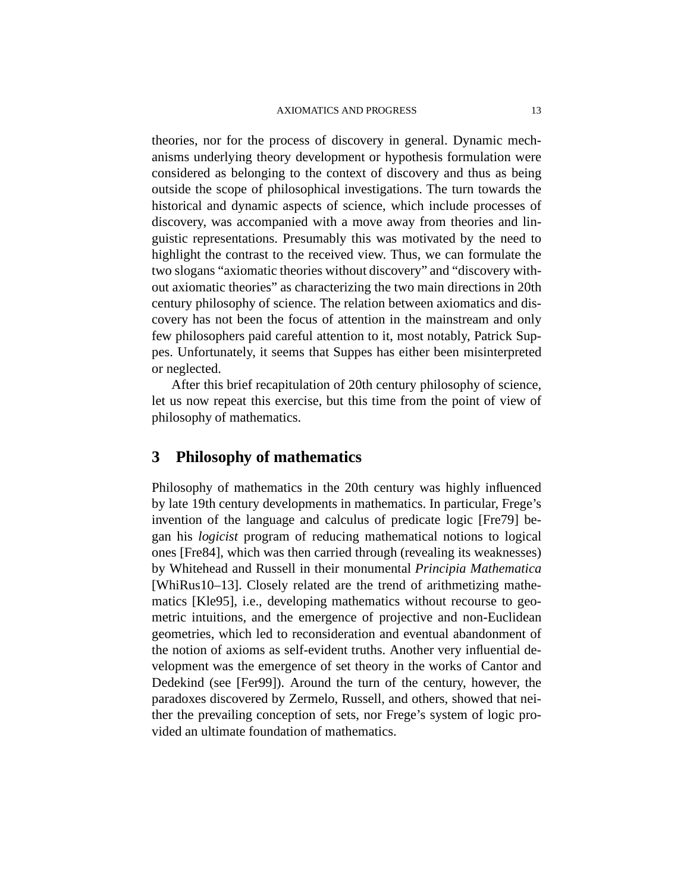theories, nor for the process of discovery in general. Dynamic mechanisms underlying theory development or hypothesis formulation were considered as belonging to the context of discovery and thus as being outside the scope of philosophical investigations. The turn towards the historical and dynamic aspects of science, which include processes of discovery, was accompanied with a move away from theories and linguistic representations. Presumably this was motivated by the need to highlight the contrast to the received view. Thus, we can formulate the two slogans "axiomatic theories without discovery" and "discovery without axiomatic theories" as characterizing the two main directions in 20th century philosophy of science. The relation between axiomatics and discovery has not been the focus of attention in the mainstream and only few philosophers paid careful attention to it, most notably, Patrick Suppes. Unfortunately, it seems that Suppes has either been misinterpreted or neglected.

After this brief recapitulation of 20th century philosophy of science, let us now repeat this exercise, but this time from the point of view of philosophy of mathematics.

# **3 Philosophy of mathematics**

Philosophy of mathematics in the 20th century was highly influenced by late 19th century developments in mathematics. In particular, Frege's invention of the language and calculus of predicate logic [Fre79] began his *logicist* program of reducing mathematical notions to logical ones [Fre84], which was then carried through (revealing its weaknesses) by Whitehead and Russell in their monumental *Principia Mathematica* [WhiRus10–13]. Closely related are the trend of arithmetizing mathematics [Kle95], i.e., developing mathematics without recourse to geometric intuitions, and the emergence of projective and non-Euclidean geometries, which led to reconsideration and eventual abandonment of the notion of axioms as self-evident truths. Another very influential development was the emergence of set theory in the works of Cantor and Dedekind (see [Fer99]). Around the turn of the century, however, the paradoxes discovered by Zermelo, Russell, and others, showed that neither the prevailing conception of sets, nor Frege's system of logic provided an ultimate foundation of mathematics.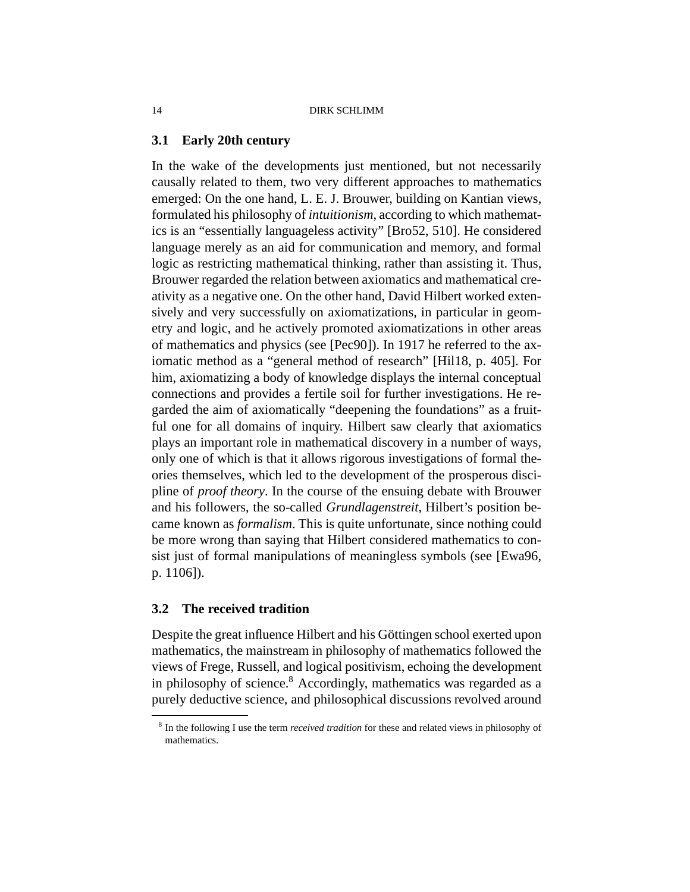## **3.1 Early 20th century**

In the wake of the developments just mentioned, but not necessarily causally related to them, two very different approaches to mathematics emerged: On the one hand, L. E. J. Brouwer, building on Kantian views, formulated his philosophy of *intuitionism*, according to which mathematics is an "essentially languageless activity" [Bro52, 510]. He considered language merely as an aid for communication and memory, and formal logic as restricting mathematical thinking, rather than assisting it. Thus, Brouwer regarded the relation between axiomatics and mathematical creativity as a negative one. On the other hand, David Hilbert worked extensively and very successfully on axiomatizations, in particular in geometry and logic, and he actively promoted axiomatizations in other areas of mathematics and physics (see [Pec90]). In 1917 he referred to the axiomatic method as a "general method of research" [Hil18, p. 405]. For him, axiomatizing a body of knowledge displays the internal conceptual connections and provides a fertile soil for further investigations. He regarded the aim of axiomatically "deepening the foundations" as a fruitful one for all domains of inquiry. Hilbert saw clearly that axiomatics plays an important role in mathematical discovery in a number of ways, only one of which is that it allows rigorous investigations of formal theories themselves, which led to the development of the prosperous discipline of *proof theory*. In the course of the ensuing debate with Brouwer and his followers, the so-called *Grundlagenstreit*, Hilbert's position became known as *formalism*. This is quite unfortunate, since nothing could be more wrong than saying that Hilbert considered mathematics to consist just of formal manipulations of meaningless symbols (see [Ewa96, p. 1106]).

## **3.2 The received tradition**

Despite the great influence Hilbert and his Göttingen school exerted upon mathematics, the mainstream in philosophy of mathematics followed the views of Frege, Russell, and logical positivism, echoing the development in philosophy of science. $8$  Accordingly, mathematics was regarded as a purely deductive science, and philosophical discussions revolved around

<sup>8</sup> In the following I use the term *received tradition* for these and related views in philosophy of mathematics.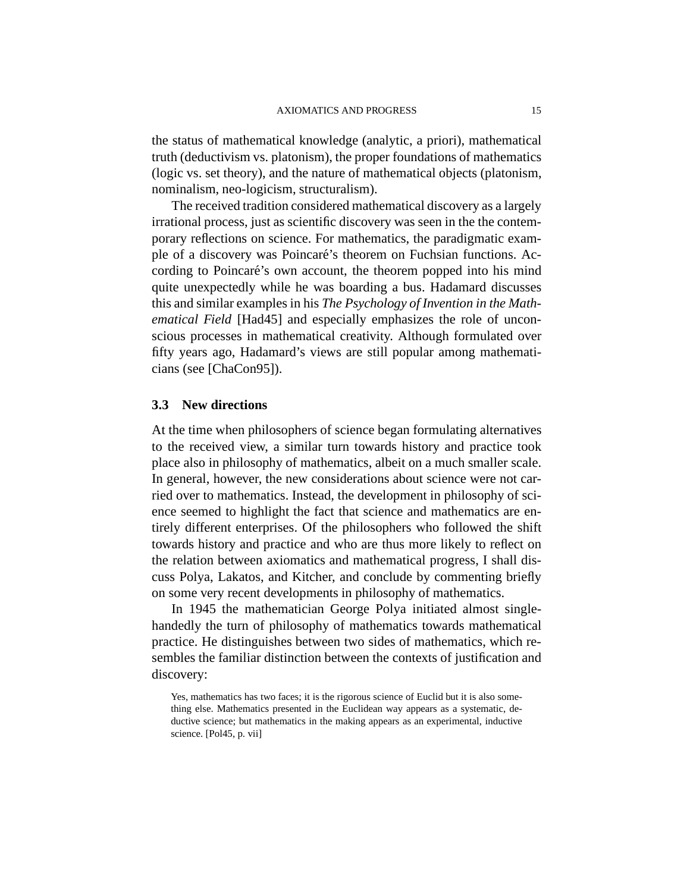the status of mathematical knowledge (analytic, a priori), mathematical truth (deductivism vs. platonism), the proper foundations of mathematics (logic vs. set theory), and the nature of mathematical objects (platonism, nominalism, neo-logicism, structuralism).

The received tradition considered mathematical discovery as a largely irrational process, just as scientific discovery was seen in the the contemporary reflections on science. For mathematics, the paradigmatic example of a discovery was Poincaré's theorem on Fuchsian functions. According to Poincaré's own account, the theorem popped into his mind quite unexpectedly while he was boarding a bus. Hadamard discusses this and similar examples in his *The Psychology of Invention in the Mathematical Field* [Had45] and especially emphasizes the role of unconscious processes in mathematical creativity. Although formulated over fifty years ago, Hadamard's views are still popular among mathematicians (see [ChaCon95]).

# **3.3 New directions**

At the time when philosophers of science began formulating alternatives to the received view, a similar turn towards history and practice took place also in philosophy of mathematics, albeit on a much smaller scale. In general, however, the new considerations about science were not carried over to mathematics. Instead, the development in philosophy of science seemed to highlight the fact that science and mathematics are entirely different enterprises. Of the philosophers who followed the shift towards history and practice and who are thus more likely to reflect on the relation between axiomatics and mathematical progress, I shall discuss Polya, Lakatos, and Kitcher, and conclude by commenting briefly on some very recent developments in philosophy of mathematics.

In 1945 the mathematician George Polya initiated almost singlehandedly the turn of philosophy of mathematics towards mathematical practice. He distinguishes between two sides of mathematics, which resembles the familiar distinction between the contexts of justification and discovery:

Yes, mathematics has two faces; it is the rigorous science of Euclid but it is also something else. Mathematics presented in the Euclidean way appears as a systematic, deductive science; but mathematics in the making appears as an experimental, inductive science. [Pol45, p. vii]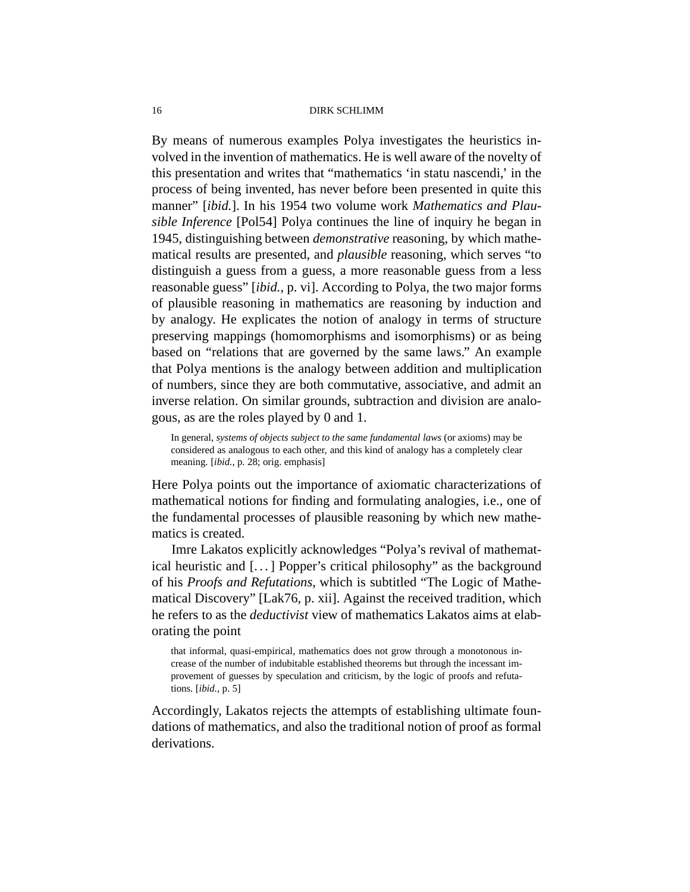By means of numerous examples Polya investigates the heuristics involved in the invention of mathematics. He is well aware of the novelty of this presentation and writes that "mathematics 'in statu nascendi,' in the process of being invented, has never before been presented in quite this manner" [*ibid.*]. In his 1954 two volume work *Mathematics and Plausible Inference* [Pol54] Polya continues the line of inquiry he began in 1945, distinguishing between *demonstrative* reasoning, by which mathematical results are presented, and *plausible* reasoning, which serves "to distinguish a guess from a guess, a more reasonable guess from a less reasonable guess" [*ibid.*, p. vi]. According to Polya, the two major forms of plausible reasoning in mathematics are reasoning by induction and by analogy. He explicates the notion of analogy in terms of structure preserving mappings (homomorphisms and isomorphisms) or as being based on "relations that are governed by the same laws." An example that Polya mentions is the analogy between addition and multiplication of numbers, since they are both commutative, associative, and admit an inverse relation. On similar grounds, subtraction and division are analogous, as are the roles played by 0 and 1.

In general, *systems of objects subject to the same fundamental laws* (or axioms) may be considered as analogous to each other, and this kind of analogy has a completely clear meaning. [*ibid.*, p. 28; orig. emphasis]

Here Polya points out the importance of axiomatic characterizations of mathematical notions for finding and formulating analogies, i.e., one of the fundamental processes of plausible reasoning by which new mathematics is created.

Imre Lakatos explicitly acknowledges "Polya's revival of mathematical heuristic and [. . . ] Popper's critical philosophy" as the background of his *Proofs and Refutations*, which is subtitled "The Logic of Mathematical Discovery" [Lak76, p. xii]. Against the received tradition, which he refers to as the *deductivist* view of mathematics Lakatos aims at elaborating the point

that informal, quasi-empirical, mathematics does not grow through a monotonous increase of the number of indubitable established theorems but through the incessant improvement of guesses by speculation and criticism, by the logic of proofs and refutations. [*ibid.*, p. 5]

Accordingly, Lakatos rejects the attempts of establishing ultimate foundations of mathematics, and also the traditional notion of proof as formal derivations.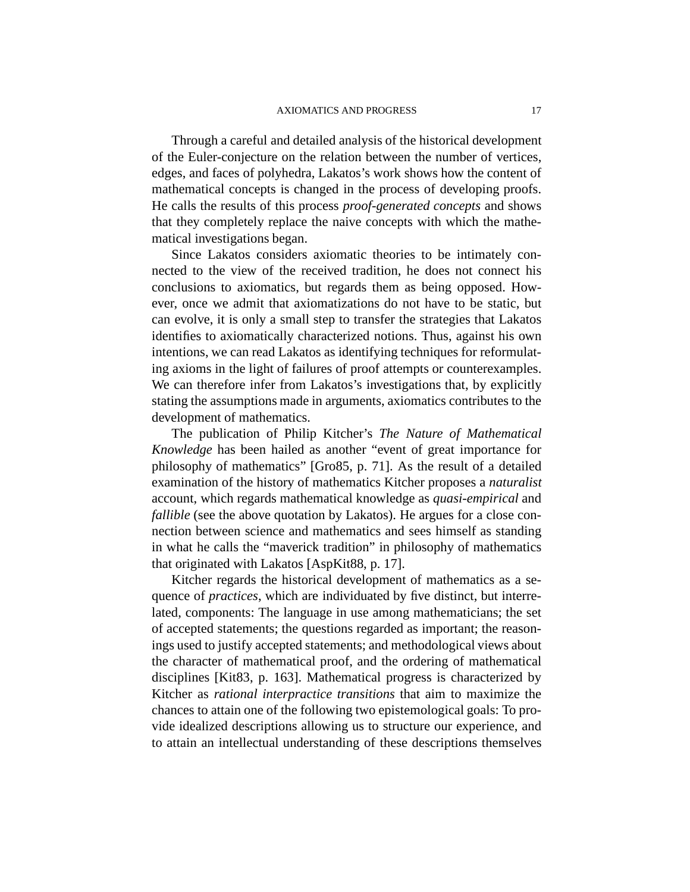Through a careful and detailed analysis of the historical development of the Euler-conjecture on the relation between the number of vertices, edges, and faces of polyhedra, Lakatos's work shows how the content of mathematical concepts is changed in the process of developing proofs. He calls the results of this process *proof-generated concepts* and shows that they completely replace the naive concepts with which the mathematical investigations began.

Since Lakatos considers axiomatic theories to be intimately connected to the view of the received tradition, he does not connect his conclusions to axiomatics, but regards them as being opposed. However, once we admit that axiomatizations do not have to be static, but can evolve, it is only a small step to transfer the strategies that Lakatos identifies to axiomatically characterized notions. Thus, against his own intentions, we can read Lakatos as identifying techniques for reformulating axioms in the light of failures of proof attempts or counterexamples. We can therefore infer from Lakatos's investigations that, by explicitly stating the assumptions made in arguments, axiomatics contributes to the development of mathematics.

The publication of Philip Kitcher's *The Nature of Mathematical Knowledge* has been hailed as another "event of great importance for philosophy of mathematics" [Gro85, p. 71]. As the result of a detailed examination of the history of mathematics Kitcher proposes a *naturalist* account, which regards mathematical knowledge as *quasi-empirical* and *fallible* (see the above quotation by Lakatos). He argues for a close connection between science and mathematics and sees himself as standing in what he calls the "maverick tradition" in philosophy of mathematics that originated with Lakatos [AspKit88, p. 17].

Kitcher regards the historical development of mathematics as a sequence of *practices*, which are individuated by five distinct, but interrelated, components: The language in use among mathematicians; the set of accepted statements; the questions regarded as important; the reasonings used to justify accepted statements; and methodological views about the character of mathematical proof, and the ordering of mathematical disciplines [Kit83, p. 163]. Mathematical progress is characterized by Kitcher as *rational interpractice transitions* that aim to maximize the chances to attain one of the following two epistemological goals: To provide idealized descriptions allowing us to structure our experience, and to attain an intellectual understanding of these descriptions themselves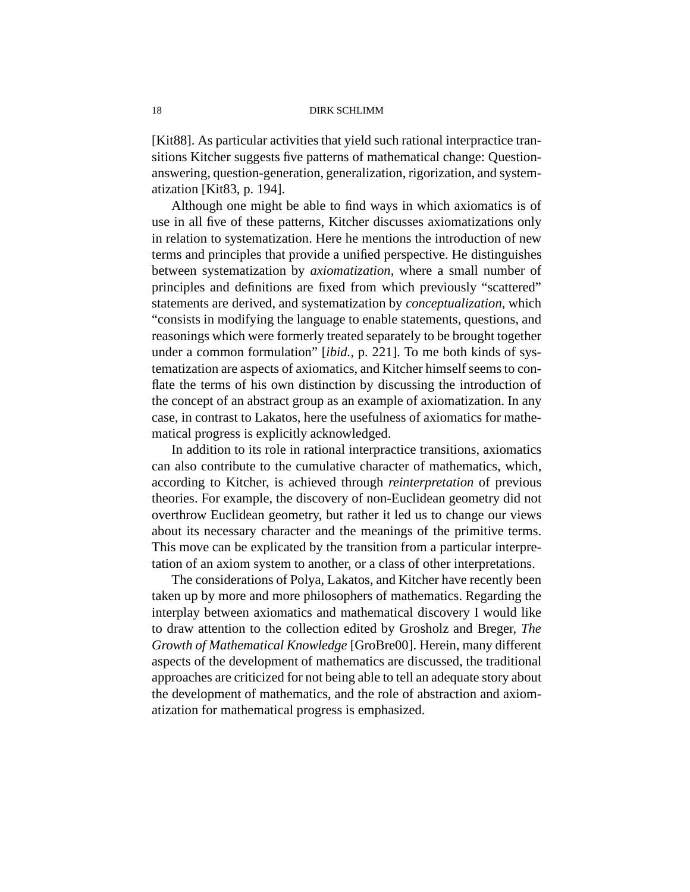[Kit88]. As particular activities that yield such rational interpractice transitions Kitcher suggests five patterns of mathematical change: Questionanswering, question-generation, generalization, rigorization, and systematization [Kit83, p. 194].

Although one might be able to find ways in which axiomatics is of use in all five of these patterns, Kitcher discusses axiomatizations only in relation to systematization. Here he mentions the introduction of new terms and principles that provide a unified perspective. He distinguishes between systematization by *axiomatization*, where a small number of principles and definitions are fixed from which previously "scattered" statements are derived, and systematization by *conceptualization*, which "consists in modifying the language to enable statements, questions, and reasonings which were formerly treated separately to be brought together under a common formulation" [*ibid.*, p. 221]. To me both kinds of systematization are aspects of axiomatics, and Kitcher himself seems to conflate the terms of his own distinction by discussing the introduction of the concept of an abstract group as an example of axiomatization. In any case, in contrast to Lakatos, here the usefulness of axiomatics for mathematical progress is explicitly acknowledged.

In addition to its role in rational interpractice transitions, axiomatics can also contribute to the cumulative character of mathematics, which, according to Kitcher, is achieved through *reinterpretation* of previous theories. For example, the discovery of non-Euclidean geometry did not overthrow Euclidean geometry, but rather it led us to change our views about its necessary character and the meanings of the primitive terms. This move can be explicated by the transition from a particular interpretation of an axiom system to another, or a class of other interpretations.

The considerations of Polya, Lakatos, and Kitcher have recently been taken up by more and more philosophers of mathematics. Regarding the interplay between axiomatics and mathematical discovery I would like to draw attention to the collection edited by Grosholz and Breger, *The Growth of Mathematical Knowledge* [GroBre00]. Herein, many different aspects of the development of mathematics are discussed, the traditional approaches are criticized for not being able to tell an adequate story about the development of mathematics, and the role of abstraction and axiomatization for mathematical progress is emphasized.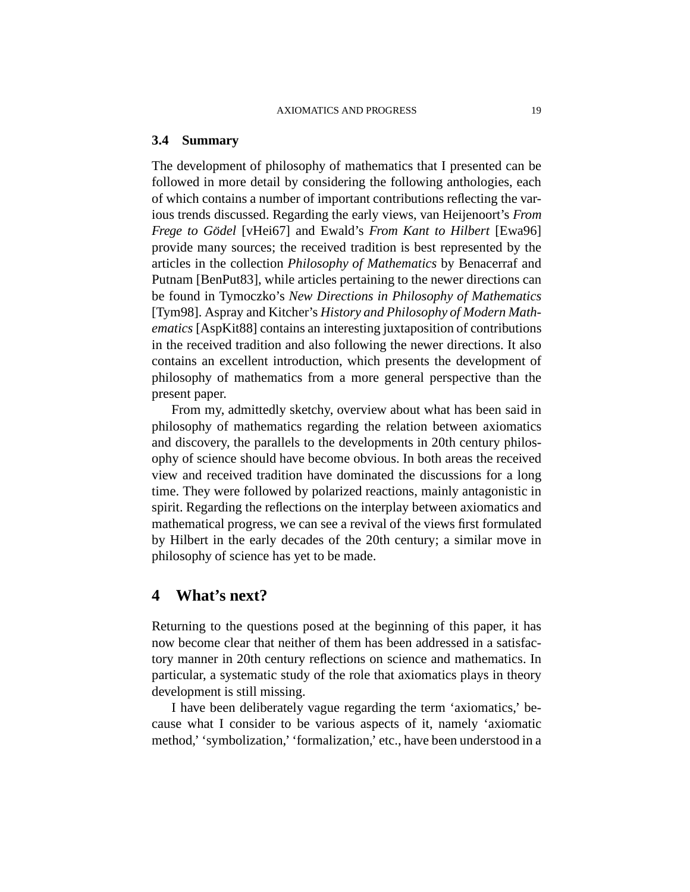## **3.4 Summary**

The development of philosophy of mathematics that I presented can be followed in more detail by considering the following anthologies, each of which contains a number of important contributions reflecting the various trends discussed. Regarding the early views, van Heijenoort's *From Frege to Gödel* [vHei67] and Ewald's *From Kant to Hilbert* [Ewa96] provide many sources; the received tradition is best represented by the articles in the collection *Philosophy of Mathematics* by Benacerraf and Putnam [BenPut83], while articles pertaining to the newer directions can be found in Tymoczko's *New Directions in Philosophy of Mathematics* [Tym98]. Aspray and Kitcher's *History and Philosophy of Modern Mathematics* [AspKit88] contains an interesting juxtaposition of contributions in the received tradition and also following the newer directions. It also contains an excellent introduction, which presents the development of philosophy of mathematics from a more general perspective than the present paper.

From my, admittedly sketchy, overview about what has been said in philosophy of mathematics regarding the relation between axiomatics and discovery, the parallels to the developments in 20th century philosophy of science should have become obvious. In both areas the received view and received tradition have dominated the discussions for a long time. They were followed by polarized reactions, mainly antagonistic in spirit. Regarding the reflections on the interplay between axiomatics and mathematical progress, we can see a revival of the views first formulated by Hilbert in the early decades of the 20th century; a similar move in philosophy of science has yet to be made.

# **4 What's next?**

Returning to the questions posed at the beginning of this paper, it has now become clear that neither of them has been addressed in a satisfactory manner in 20th century reflections on science and mathematics. In particular, a systematic study of the role that axiomatics plays in theory development is still missing.

I have been deliberately vague regarding the term 'axiomatics,' because what I consider to be various aspects of it, namely 'axiomatic method,' 'symbolization,' 'formalization,' etc., have been understood in a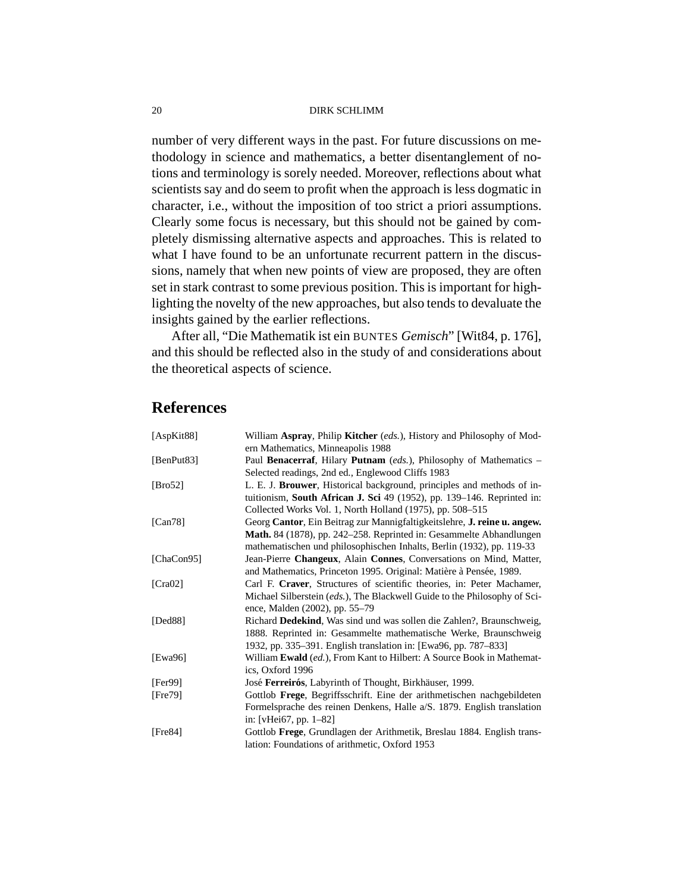number of very different ways in the past. For future discussions on methodology in science and mathematics, a better disentanglement of notions and terminology is sorely needed. Moreover, reflections about what scientists say and do seem to profit when the approach is less dogmatic in character, i.e., without the imposition of too strict a priori assumptions. Clearly some focus is necessary, but this should not be gained by completely dismissing alternative aspects and approaches. This is related to what I have found to be an unfortunate recurrent pattern in the discussions, namely that when new points of view are proposed, they are often set in stark contrast to some previous position. This is important for highlighting the novelty of the new approaches, but also tends to devaluate the insights gained by the earlier reflections.

After all, "Die Mathematik ist ein BUNTES *Gemisch*" [Wit84, p. 176], and this should be reflected also in the study of and considerations about the theoretical aspects of science.

# **References**

| [AspKit88] | William Aspray, Philip Kitcher (eds.), History and Philosophy of Mod-        |
|------------|------------------------------------------------------------------------------|
|            | ern Mathematics, Minneapolis 1988                                            |
| [BenPut83] | Paul Benacerraf, Hilary Putnam (eds.), Philosophy of Mathematics –           |
|            | Selected readings, 2nd ed., Englewood Cliffs 1983                            |
| [Bro52]    | L. E. J. Brouwer, Historical background, principles and methods of in-       |
|            | tuitionism, South African J. Sci 49 (1952), pp. 139-146. Reprinted in:       |
|            | Collected Works Vol. 1, North Holland (1975), pp. 508-515                    |
| [Can78]    | Georg Cantor, Ein Beitrag zur Mannigfaltigkeitslehre, J. reine u. angew.     |
|            | Math. 84 (1878), pp. 242–258. Reprinted in: Gesammelte Abhandlungen          |
|            | mathematischen und philosophischen Inhalts, Berlin (1932), pp. 119-33        |
| [ChaCon95] | Jean-Pierre Changeux, Alain Connes, Conversations on Mind, Matter,           |
|            | and Mathematics, Princeton 1995. Original: Matière à Pensée, 1989.           |
| [Cra02]    | Carl F. Craver, Structures of scientific theories, in: Peter Machamer,       |
|            | Michael Silberstein (eds.), The Blackwell Guide to the Philosophy of Sci-    |
|            | ence, Malden (2002), pp. 55-79                                               |
| [Ded88]    | Richard Dedekind, Was sind und was sollen die Zahlen?, Braunschweig,         |
|            | 1888. Reprinted in: Gesammelte mathematische Werke, Braunschweig             |
|            | 1932, pp. 335–391. English translation in: [Ewa96, pp. 787–833]              |
| [Ewa96]    | William <b>Ewald</b> (ed.), From Kant to Hilbert: A Source Book in Mathemat- |
|            | ics, Oxford 1996                                                             |
| [Fer99]    | José Ferreirós, Labyrinth of Thought, Birkhäuser, 1999.                      |
| [Fe79]     | Gottlob Frege, Begriffsschrift. Eine der arithmetischen nachgebildeten       |
|            | Formelsprache des reinen Denkens, Halle a/S. 1879. English translation       |
|            | in: [vHei67, pp. 1–82]                                                       |
| [Fre84]    | Gottlob Frege, Grundlagen der Arithmetik, Breslau 1884. English trans-       |
|            | lation: Foundations of arithmetic, Oxford 1953                               |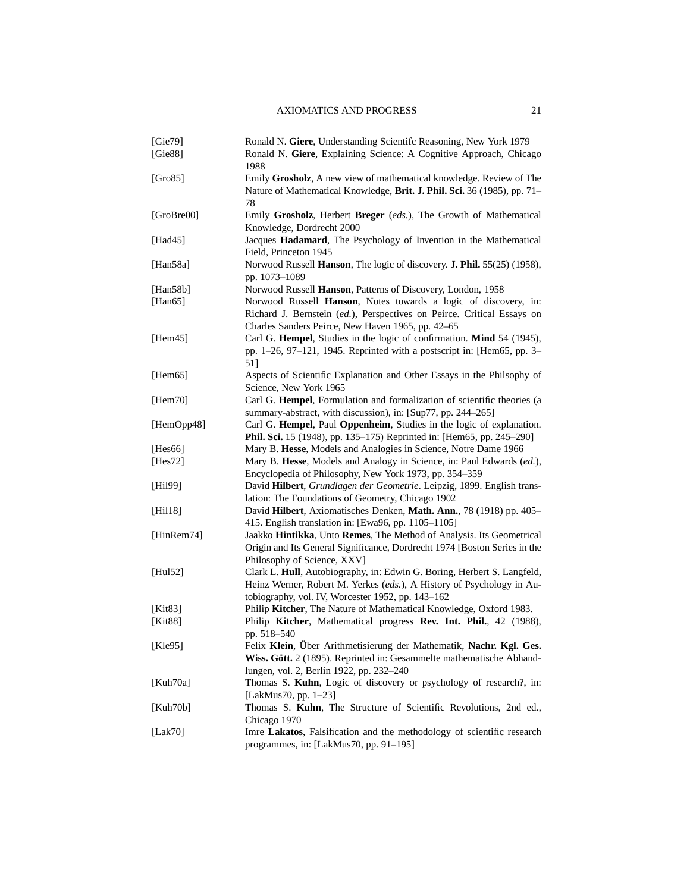| [Gie79]        | Ronald N. Giere, Understanding Scientifc Reasoning, New York 1979         |
|----------------|---------------------------------------------------------------------------|
| [Gie88]        | Ronald N. Giere, Explaining Science: A Cognitive Approach, Chicago        |
|                | 1988                                                                      |
| [Gro85]        | Emily Grosholz, A new view of mathematical knowledge. Review of The       |
|                | Nature of Mathematical Knowledge, Brit. J. Phil. Sci. 36 (1985), pp. 71–  |
|                | 78                                                                        |
| [ $GroBre00$ ] | Emily Grosholz, Herbert Breger (eds.), The Growth of Mathematical         |
|                | Knowledge, Dordrecht 2000                                                 |
| [Had $45$ ]    | Jacques Hadamard, The Psychology of Invention in the Mathematical         |
|                | Field, Princeton 1945                                                     |
| [Han $58a$ ]   | Norwood Russell Hanson, The logic of discovery. J. Phil. 55(25) (1958),   |
|                | pp. 1073-1089                                                             |
| [Han $58b$ ]   | Norwood Russell Hanson, Patterns of Discovery, London, 1958               |
| [Han $65$ ]    | Norwood Russell Hanson, Notes towards a logic of discovery, in:           |
|                | Richard J. Bernstein (ed.), Perspectives on Peirce. Critical Essays on    |
|                | Charles Sanders Peirce, New Haven 1965, pp. 42–65                         |
| [Hem45]        | Carl G. Hempel, Studies in the logic of confirmation. Mind 54 (1945),     |
|                | pp. 1-26, 97-121, 1945. Reprinted with a postscript in: [Hem65, pp. 3-    |
|                | 51]                                                                       |
| [Hem65]        | Aspects of Scientific Explanation and Other Essays in the Philsophy of    |
|                | Science, New York 1965                                                    |
| [Hem70]        | Carl G. Hempel, Formulation and formalization of scientific theories (a   |
|                | summary-abstract, with discussion), in: [Sup77, pp. 244-265]              |
| [HemOpp48]     | Carl G. Hempel, Paul Oppenheim, Studies in the logic of explanation.      |
|                | Phil. Sci. 15 (1948), pp. 135–175) Reprinted in: [Hem65, pp. 245–290]     |
| [Hes66]        | Mary B. Hesse, Models and Analogies in Science, Notre Dame 1966           |
| [Hes72]        | Mary B. Hesse, Models and Analogy in Science, in: Paul Edwards (ed.),     |
|                | Encyclopedia of Philosophy, New York 1973, pp. 354-359                    |
| [Hil99]        | David Hilbert, Grundlagen der Geometrie. Leipzig, 1899. English trans-    |
|                | lation: The Foundations of Geometry, Chicago 1902                         |
| [Hil18]        | David Hilbert, Axiomatisches Denken, Math. Ann., 78 (1918) pp. 405–       |
|                | 415. English translation in: [Ewa96, pp. 1105-1105]                       |
| [HinRem74]     | Jaakko Hintikka, Unto Remes, The Method of Analysis. Its Geometrical      |
|                | Origin and Its General Significance, Dordrecht 1974 [Boston Series in the |
|                | Philosophy of Science, XXV]                                               |
| [Hul52]        | Clark L. Hull, Autobiography, in: Edwin G. Boring, Herbert S. Langfeld,   |
|                | Heinz Werner, Robert M. Yerkes (eds.), A History of Psychology in Au-     |
|                | tobiography, vol. IV, Worcester 1952, pp. 143-162                         |
| [Kit83]        | Philip Kitcher, The Nature of Mathematical Knowledge, Oxford 1983.        |
| [Kit $88$ ]    | Philip Kitcher, Mathematical progress Rev. Int. Phil., 42 (1988),         |
|                | pp. 518-540                                                               |
| [Kle95]        | Felix Klein, Über Arithmetisierung der Mathematik, Nachr. Kgl. Ges.       |
|                | Wiss. Gött. 2 (1895). Reprinted in: Gesammelte mathematische Abhand-      |
|                | lungen, vol. 2, Berlin 1922, pp. 232–240                                  |
| [Kuh70a]       | Thomas S. Kuhn, Logic of discovery or psychology of research?, in:        |
|                | [LakMus70, pp. 1-23]                                                      |
| [Kuh70b]       | Thomas S. Kuhn, The Structure of Scientific Revolutions, 2nd ed.,         |
|                | Chicago 1970                                                              |
| [Lak70]        | Imre Lakatos, Falsification and the methodology of scientific research    |
|                | programmes, in: [LakMus70, pp. 91-195]                                    |
|                |                                                                           |